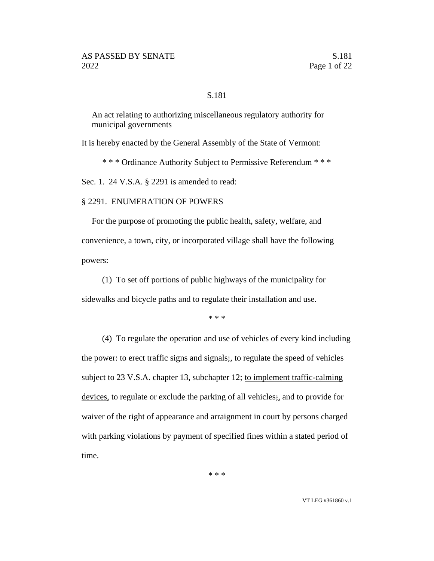#### S.181

An act relating to authorizing miscellaneous regulatory authority for municipal governments

It is hereby enacted by the General Assembly of the State of Vermont:

\* \* \* Ordinance Authority Subject to Permissive Referendum \* \* \*

Sec. 1. 24 V.S.A. § 2291 is amended to read:

#### § 2291. ENUMERATION OF POWERS

For the purpose of promoting the public health, safety, welfare, and convenience, a town, city, or incorporated village shall have the following powers:

(1) To set off portions of public highways of the municipality for sidewalks and bicycle paths and to regulate their installation and use.

\* \* \*

(4) To regulate the operation and use of vehicles of every kind including the power: to erect traffic signs and signals; to regulate the speed of vehicles subject to 23 V.S.A. chapter 13, subchapter 12; to implement traffic-calming devices, to regulate or exclude the parking of all vehicles;, and to provide for waiver of the right of appearance and arraignment in court by persons charged with parking violations by payment of specified fines within a stated period of time.

\* \* \*

VT LEG #361860 v.1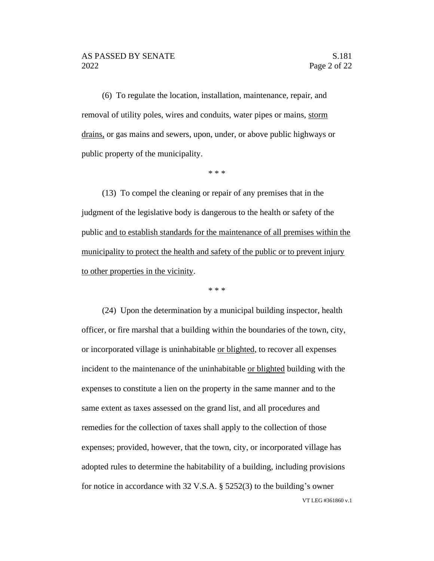(6) To regulate the location, installation, maintenance, repair, and removal of utility poles, wires and conduits, water pipes or mains, storm drains, or gas mains and sewers, upon, under, or above public highways or public property of the municipality.

\* \* \*

(13) To compel the cleaning or repair of any premises that in the judgment of the legislative body is dangerous to the health or safety of the public and to establish standards for the maintenance of all premises within the municipality to protect the health and safety of the public or to prevent injury to other properties in the vicinity.

\* \* \*

VT LEG #361860 v.1 (24) Upon the determination by a municipal building inspector, health officer, or fire marshal that a building within the boundaries of the town, city, or incorporated village is uninhabitable or blighted, to recover all expenses incident to the maintenance of the uninhabitable or blighted building with the expenses to constitute a lien on the property in the same manner and to the same extent as taxes assessed on the grand list, and all procedures and remedies for the collection of taxes shall apply to the collection of those expenses; provided, however, that the town, city, or incorporated village has adopted rules to determine the habitability of a building, including provisions for notice in accordance with 32 V.S.A. § 5252(3) to the building's owner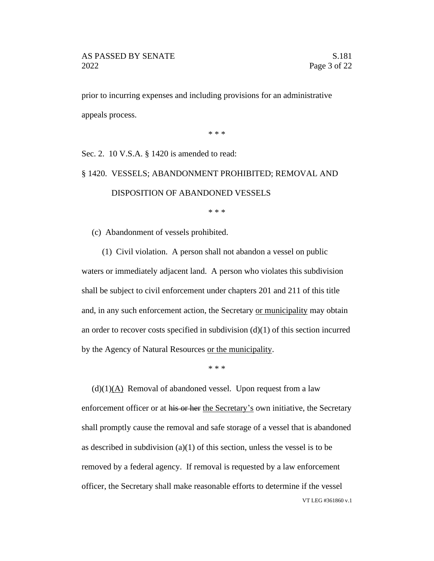prior to incurring expenses and including provisions for an administrative appeals process.

\* \* \*

Sec. 2. 10 V.S.A. § 1420 is amended to read:

# § 1420. VESSELS; ABANDONMENT PROHIBITED; REMOVAL AND DISPOSITION OF ABANDONED VESSELS

\* \* \*

(c) Abandonment of vessels prohibited.

(1) Civil violation. A person shall not abandon a vessel on public waters or immediately adjacent land. A person who violates this subdivision shall be subject to civil enforcement under chapters 201 and 211 of this title and, in any such enforcement action, the Secretary or municipality may obtain an order to recover costs specified in subdivision  $(d)(1)$  of this section incurred by the Agency of Natural Resources or the municipality.

\* \* \*

VT LEG #361860 v.1  $(d)(1)$ ( $\triangle$ ) Removal of abandoned vessel. Upon request from a law enforcement officer or at his or her the Secretary's own initiative, the Secretary shall promptly cause the removal and safe storage of a vessel that is abandoned as described in subdivision (a)(1) of this section, unless the vessel is to be removed by a federal agency. If removal is requested by a law enforcement officer, the Secretary shall make reasonable efforts to determine if the vessel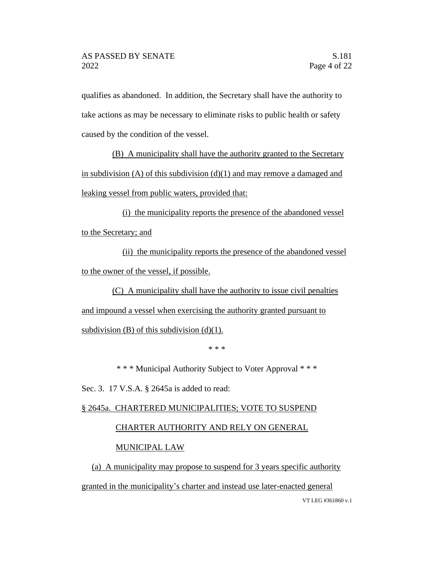qualifies as abandoned. In addition, the Secretary shall have the authority to take actions as may be necessary to eliminate risks to public health or safety caused by the condition of the vessel.

(B) A municipality shall have the authority granted to the Secretary in subdivision  $(A)$  of this subdivision  $(d)(1)$  and may remove a damaged and leaking vessel from public waters, provided that:

(i) the municipality reports the presence of the abandoned vessel to the Secretary; and

(ii) the municipality reports the presence of the abandoned vessel to the owner of the vessel, if possible.

(C) A municipality shall have the authority to issue civil penalties and impound a vessel when exercising the authority granted pursuant to

subdivision  $(B)$  of this subdivision  $(d)(1)$ .

\* \* \*

\* \* \* Municipal Authority Subject to Voter Approval \* \* \*

Sec. 3. 17 V.S.A. § 2645a is added to read:

# § 2645a. CHARTERED MUNICIPALITIES; VOTE TO SUSPEND

# CHARTER AUTHORITY AND RELY ON GENERAL

# MUNICIPAL LAW

(a) A municipality may propose to suspend for 3 years specific authority granted in the municipality's charter and instead use later-enacted general

VT LEG #361860 v.1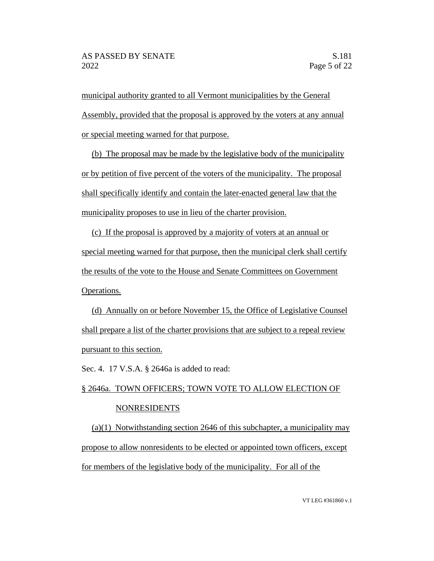municipal authority granted to all Vermont municipalities by the General Assembly, provided that the proposal is approved by the voters at any annual or special meeting warned for that purpose.

(b) The proposal may be made by the legislative body of the municipality or by petition of five percent of the voters of the municipality. The proposal shall specifically identify and contain the later-enacted general law that the municipality proposes to use in lieu of the charter provision.

(c) If the proposal is approved by a majority of voters at an annual or special meeting warned for that purpose, then the municipal clerk shall certify the results of the vote to the House and Senate Committees on Government Operations.

(d) Annually on or before November 15, the Office of Legislative Counsel shall prepare a list of the charter provisions that are subject to a repeal review pursuant to this section.

Sec. 4. 17 V.S.A. § 2646a is added to read:

# § 2646a. TOWN OFFICERS; TOWN VOTE TO ALLOW ELECTION OF NONRESIDENTS

(a)(1) Notwithstanding section 2646 of this subchapter, a municipality may propose to allow nonresidents to be elected or appointed town officers, except for members of the legislative body of the municipality. For all of the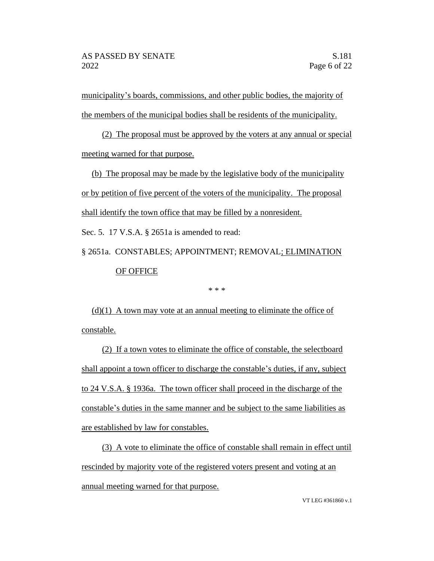municipality's boards, commissions, and other public bodies, the majority of the members of the municipal bodies shall be residents of the municipality.

(2) The proposal must be approved by the voters at any annual or special meeting warned for that purpose.

(b) The proposal may be made by the legislative body of the municipality or by petition of five percent of the voters of the municipality. The proposal shall identify the town office that may be filled by a nonresident.

Sec. 5. 17 V.S.A. § 2651a is amended to read:

§ 2651a. CONSTABLES; APPOINTMENT; REMOVAL; ELIMINATION OF OFFICE

\* \* \*

 $(d)(1)$  A town may vote at an annual meeting to eliminate the office of constable.

(2) If a town votes to eliminate the office of constable, the selectboard shall appoint a town officer to discharge the constable's duties, if any, subject to 24 V.S.A. § 1936a. The town officer shall proceed in the discharge of the constable's duties in the same manner and be subject to the same liabilities as are established by law for constables.

(3) A vote to eliminate the office of constable shall remain in effect until rescinded by majority vote of the registered voters present and voting at an annual meeting warned for that purpose.

VT LEG #361860 v.1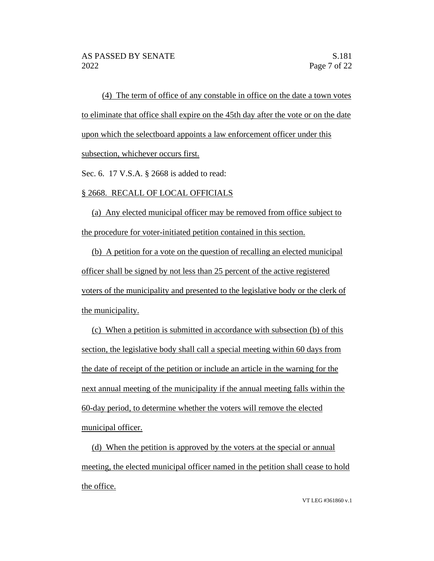(4) The term of office of any constable in office on the date a town votes to eliminate that office shall expire on the 45th day after the vote or on the date upon which the selectboard appoints a law enforcement officer under this subsection, whichever occurs first.

Sec. 6. 17 V.S.A. § 2668 is added to read:

### § 2668. RECALL OF LOCAL OFFICIALS

(a) Any elected municipal officer may be removed from office subject to the procedure for voter-initiated petition contained in this section.

(b) A petition for a vote on the question of recalling an elected municipal officer shall be signed by not less than 25 percent of the active registered voters of the municipality and presented to the legislative body or the clerk of the municipality.

(c) When a petition is submitted in accordance with subsection (b) of this section, the legislative body shall call a special meeting within 60 days from the date of receipt of the petition or include an article in the warning for the next annual meeting of the municipality if the annual meeting falls within the 60-day period, to determine whether the voters will remove the elected municipal officer.

(d) When the petition is approved by the voters at the special or annual meeting, the elected municipal officer named in the petition shall cease to hold the office.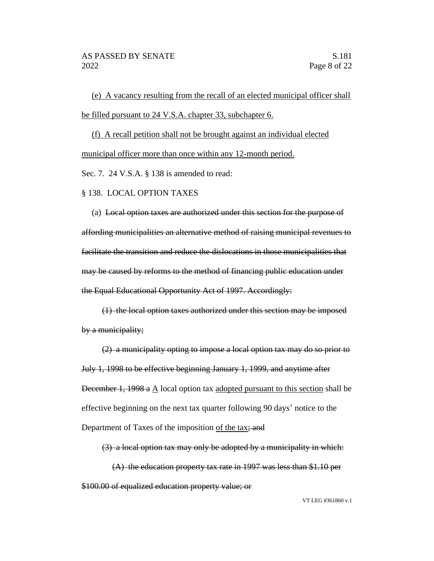(e) A vacancy resulting from the recall of an elected municipal officer shall be filled pursuant to 24 V.S.A. chapter 33, subchapter 6.

(f) A recall petition shall not be brought against an individual elected municipal officer more than once within any 12-month period.

Sec. 7. 24 V.S.A. § 138 is amended to read:

#### § 138. LOCAL OPTION TAXES

(a) Local option taxes are authorized under this section for the purpose of affording municipalities an alternative method of raising municipal revenues to facilitate the transition and reduce the dislocations in those municipalities that may be caused by reforms to the method of financing public education under the Equal Educational Opportunity Act of 1997. Accordingly:

(1) the local option taxes authorized under this section may be imposed by a municipality;

(2) a municipality opting to impose a local option tax may do so prior to July 1, 1998 to be effective beginning January 1, 1999, and anytime after December 1, 1998 a  $\triangle$  local option tax adopted pursuant to this section shall be effective beginning on the next tax quarter following 90 days' notice to the Department of Taxes of the imposition of the tax; and

(3) a local option tax may only be adopted by a municipality in which:

(A) the education property tax rate in 1997 was less than \$1.10 per \$100.00 of equalized education property value; or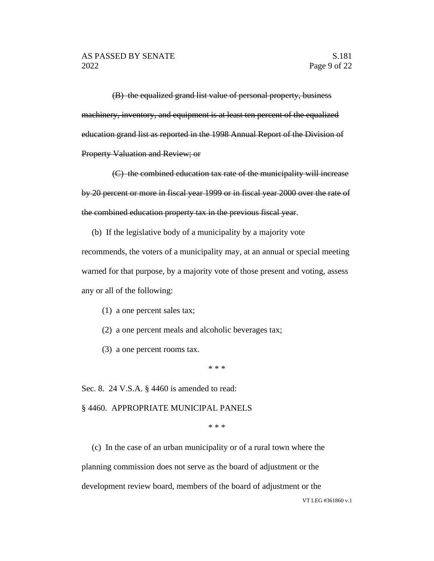(B) the equalized grand list value of personal property, business machinery, inventory, and equipment is at least ten percent of the equalized education grand list as reported in the 1998 Annual Report of the Division of Property Valuation and Review; or

(C) the combined education tax rate of the municipality will increase by 20 percent or more in fiscal year 1999 or in fiscal year 2000 over the rate of the combined education property tax in the previous fiscal year.

(b) If the legislative body of a municipality by a majority vote recommends, the voters of a municipality may, at an annual or special meeting warned for that purpose, by a majority vote of those present and voting, assess any or all of the following:

- (1) a one percent sales tax;
- (2) a one percent meals and alcoholic beverages tax;
- (3) a one percent rooms tax.

\* \* \*

Sec. 8. 24 V.S.A. § 4460 is amended to read:

§ 4460. APPROPRIATE MUNICIPAL PANELS

\* \* \*

(c) In the case of an urban municipality or of a rural town where the planning commission does not serve as the board of adjustment or the development review board, members of the board of adjustment or the

VT LEG #361860 v.1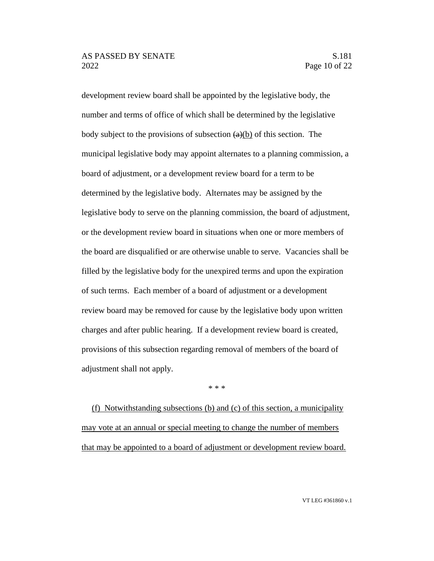development review board shall be appointed by the legislative body, the number and terms of office of which shall be determined by the legislative body subject to the provisions of subsection  $(a)(b)$  of this section. The municipal legislative body may appoint alternates to a planning commission, a board of adjustment, or a development review board for a term to be determined by the legislative body. Alternates may be assigned by the legislative body to serve on the planning commission, the board of adjustment, or the development review board in situations when one or more members of the board are disqualified or are otherwise unable to serve. Vacancies shall be filled by the legislative body for the unexpired terms and upon the expiration of such terms. Each member of a board of adjustment or a development review board may be removed for cause by the legislative body upon written charges and after public hearing. If a development review board is created, provisions of this subsection regarding removal of members of the board of adjustment shall not apply.

\* \* \*

(f) Notwithstanding subsections (b) and (c) of this section, a municipality may vote at an annual or special meeting to change the number of members that may be appointed to a board of adjustment or development review board.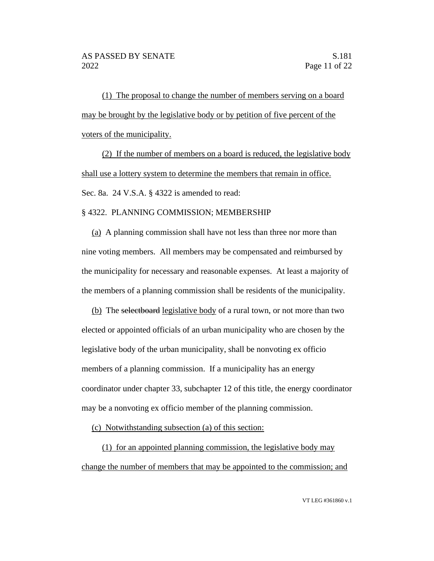(1) The proposal to change the number of members serving on a board may be brought by the legislative body or by petition of five percent of the voters of the municipality.

(2) If the number of members on a board is reduced, the legislative body shall use a lottery system to determine the members that remain in office. Sec. 8a. 24 V.S.A. § 4322 is amended to read:

#### § 4322. PLANNING COMMISSION; MEMBERSHIP

(a) A planning commission shall have not less than three nor more than nine voting members. All members may be compensated and reimbursed by the municipality for necessary and reasonable expenses. At least a majority of the members of a planning commission shall be residents of the municipality.

(b) The selectboard legislative body of a rural town, or not more than two elected or appointed officials of an urban municipality who are chosen by the legislative body of the urban municipality, shall be nonvoting ex officio members of a planning commission. If a municipality has an energy coordinator under chapter 33, subchapter 12 of this title, the energy coordinator may be a nonvoting ex officio member of the planning commission.

(c) Notwithstanding subsection (a) of this section:

(1) for an appointed planning commission, the legislative body may change the number of members that may be appointed to the commission; and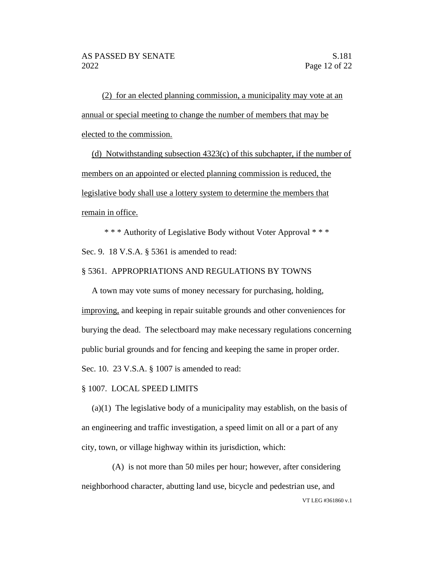(2) for an elected planning commission, a municipality may vote at an annual or special meeting to change the number of members that may be elected to the commission.

(d) Notwithstanding subsection  $4323(c)$  of this subchapter, if the number of members on an appointed or elected planning commission is reduced, the legislative body shall use a lottery system to determine the members that remain in office.

\* \* \* Authority of Legislative Body without Voter Approval \* \* \* Sec. 9. 18 V.S.A. § 5361 is amended to read:

#### § 5361. APPROPRIATIONS AND REGULATIONS BY TOWNS

A town may vote sums of money necessary for purchasing, holding, improving, and keeping in repair suitable grounds and other conveniences for burying the dead. The selectboard may make necessary regulations concerning public burial grounds and for fencing and keeping the same in proper order. Sec. 10. 23 V.S.A. § 1007 is amended to read:

#### § 1007. LOCAL SPEED LIMITS

(a)(1) The legislative body of a municipality may establish, on the basis of an engineering and traffic investigation, a speed limit on all or a part of any city, town, or village highway within its jurisdiction, which:

VT LEG #361860 v.1 (A) is not more than 50 miles per hour; however, after considering neighborhood character, abutting land use, bicycle and pedestrian use, and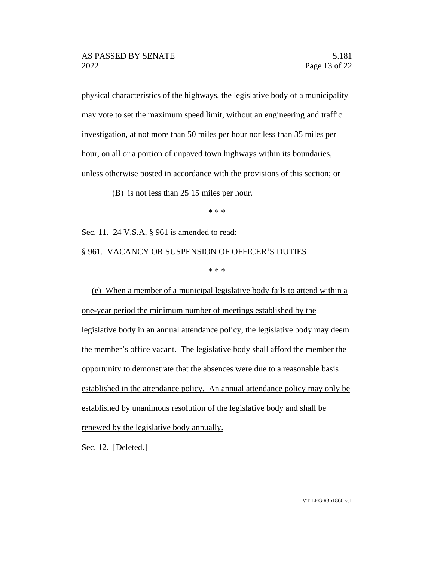physical characteristics of the highways, the legislative body of a municipality may vote to set the maximum speed limit, without an engineering and traffic investigation, at not more than 50 miles per hour nor less than 35 miles per hour, on all or a portion of unpaved town highways within its boundaries, unless otherwise posted in accordance with the provisions of this section; or

(B) is not less than  $25 \underline{15}$  miles per hour.

\* \* \*

Sec. 11. 24 V.S.A. § 961 is amended to read:

§ 961. VACANCY OR SUSPENSION OF OFFICER'S DUTIES

\* \* \*

(e) When a member of a municipal legislative body fails to attend within a one-year period the minimum number of meetings established by the legislative body in an annual attendance policy, the legislative body may deem the member's office vacant. The legislative body shall afford the member the opportunity to demonstrate that the absences were due to a reasonable basis established in the attendance policy. An annual attendance policy may only be established by unanimous resolution of the legislative body and shall be renewed by the legislative body annually.

Sec. 12. [Deleted.]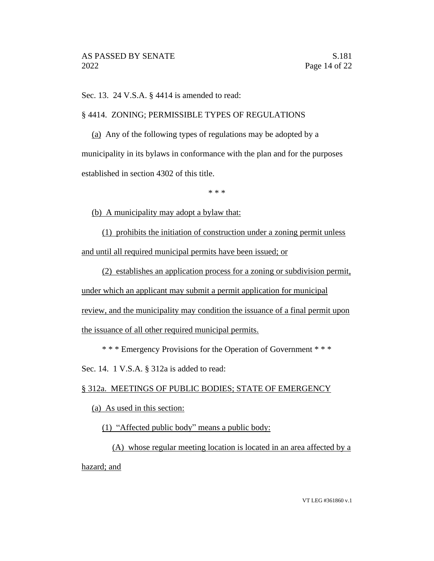Sec. 13. 24 V.S.A. § 4414 is amended to read:

§ 4414. ZONING; PERMISSIBLE TYPES OF REGULATIONS

(a) Any of the following types of regulations may be adopted by a municipality in its bylaws in conformance with the plan and for the purposes established in section 4302 of this title.

\* \* \*

(b) A municipality may adopt a bylaw that:

(1) prohibits the initiation of construction under a zoning permit unless and until all required municipal permits have been issued; or

(2) establishes an application process for a zoning or subdivision permit, under which an applicant may submit a permit application for municipal review, and the municipality may condition the issuance of a final permit upon the issuance of all other required municipal permits.

\* \* \* Emergency Provisions for the Operation of Government \* \* \*

Sec. 14. 1 V.S.A. § 312a is added to read:

## § 312a. MEETINGS OF PUBLIC BODIES; STATE OF EMERGENCY

(a) As used in this section:

(1) "Affected public body" means a public body:

(A) whose regular meeting location is located in an area affected by a hazard; and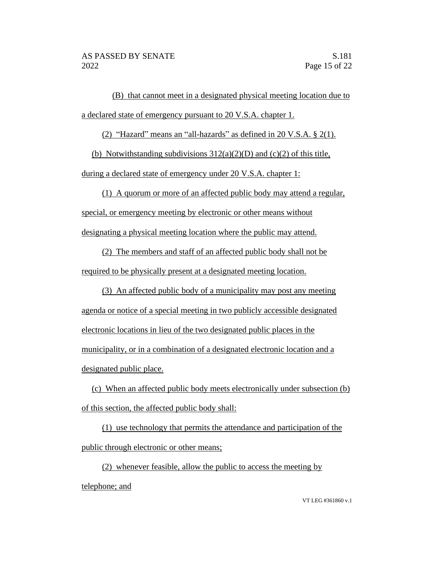(B) that cannot meet in a designated physical meeting location due to a declared state of emergency pursuant to 20 V.S.A. chapter 1.

(2) "Hazard" means an "all-hazards" as defined in 20 V.S.A. § 2(1).

(b) Notwithstanding subdivisions  $312(a)(2)(D)$  and  $(c)(2)$  of this title,

during a declared state of emergency under 20 V.S.A. chapter 1:

(1) A quorum or more of an affected public body may attend a regular, special, or emergency meeting by electronic or other means without designating a physical meeting location where the public may attend.

(2) The members and staff of an affected public body shall not be required to be physically present at a designated meeting location.

(3) An affected public body of a municipality may post any meeting agenda or notice of a special meeting in two publicly accessible designated electronic locations in lieu of the two designated public places in the municipality, or in a combination of a designated electronic location and a designated public place.

(c) When an affected public body meets electronically under subsection (b) of this section, the affected public body shall:

(1) use technology that permits the attendance and participation of the public through electronic or other means;

(2) whenever feasible, allow the public to access the meeting by telephone; and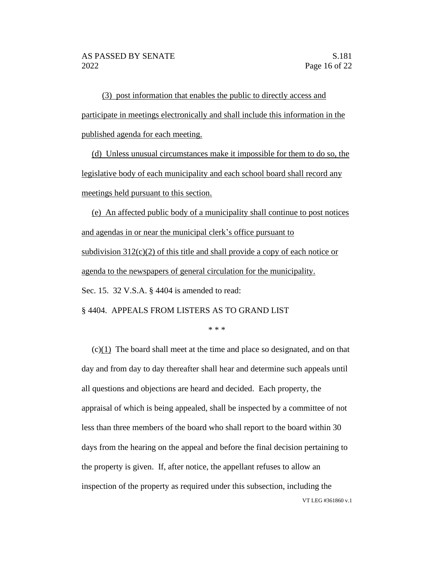(3) post information that enables the public to directly access and participate in meetings electronically and shall include this information in the published agenda for each meeting.

(d) Unless unusual circumstances make it impossible for them to do so, the legislative body of each municipality and each school board shall record any meetings held pursuant to this section.

(e) An affected public body of a municipality shall continue to post notices and agendas in or near the municipal clerk's office pursuant to subdivision  $312(c)(2)$  of this title and shall provide a copy of each notice or agenda to the newspapers of general circulation for the municipality. Sec. 15. 32 V.S.A. § 4404 is amended to read:

§ 4404. APPEALS FROM LISTERS AS TO GRAND LIST

\* \* \*

VT LEG #361860 v.1 (c)(1) The board shall meet at the time and place so designated, and on that day and from day to day thereafter shall hear and determine such appeals until all questions and objections are heard and decided. Each property, the appraisal of which is being appealed, shall be inspected by a committee of not less than three members of the board who shall report to the board within 30 days from the hearing on the appeal and before the final decision pertaining to the property is given. If, after notice, the appellant refuses to allow an inspection of the property as required under this subsection, including the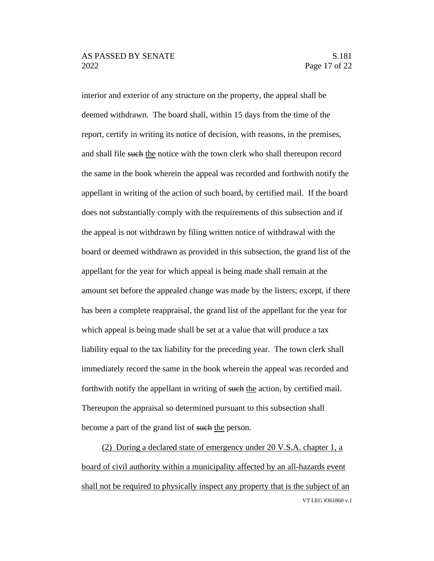interior and exterior of any structure on the property, the appeal shall be deemed withdrawn. The board shall, within 15 days from the time of the report, certify in writing its notice of decision, with reasons, in the premises, and shall file such the notice with the town clerk who shall thereupon record the same in the book wherein the appeal was recorded and forthwith notify the appellant in writing of the action of such board, by certified mail. If the board does not substantially comply with the requirements of this subsection and if the appeal is not withdrawn by filing written notice of withdrawal with the board or deemed withdrawn as provided in this subsection, the grand list of the appellant for the year for which appeal is being made shall remain at the amount set before the appealed change was made by the listers; except, if there has been a complete reappraisal, the grand list of the appellant for the year for which appeal is being made shall be set at a value that will produce a tax liability equal to the tax liability for the preceding year. The town clerk shall immediately record the same in the book wherein the appeal was recorded and forthwith notify the appellant in writing of such the action, by certified mail. Thereupon the appraisal so determined pursuant to this subsection shall become a part of the grand list of such the person.

VT LEG #361860 v.1 (2) During a declared state of emergency under 20 V.S.A. chapter 1, a board of civil authority within a municipality affected by an all-hazards event shall not be required to physically inspect any property that is the subject of an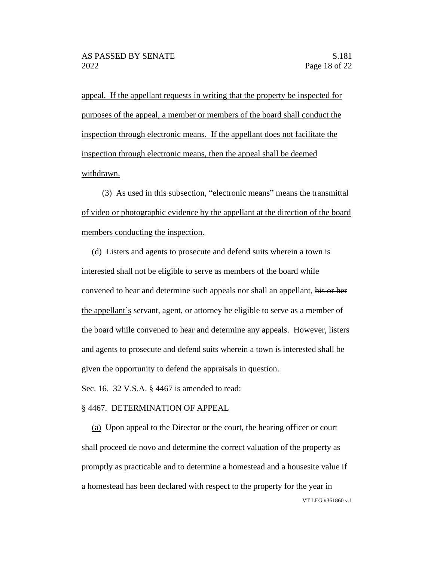appeal. If the appellant requests in writing that the property be inspected for purposes of the appeal, a member or members of the board shall conduct the inspection through electronic means. If the appellant does not facilitate the inspection through electronic means, then the appeal shall be deemed withdrawn.

(3) As used in this subsection, "electronic means" means the transmittal of video or photographic evidence by the appellant at the direction of the board members conducting the inspection.

(d) Listers and agents to prosecute and defend suits wherein a town is interested shall not be eligible to serve as members of the board while convened to hear and determine such appeals nor shall an appellant, his or her the appellant's servant, agent, or attorney be eligible to serve as a member of the board while convened to hear and determine any appeals. However, listers and agents to prosecute and defend suits wherein a town is interested shall be given the opportunity to defend the appraisals in question.

Sec. 16. 32 V.S.A. § 4467 is amended to read:

#### § 4467. DETERMINATION OF APPEAL

VT LEG #361860 v.1 (a) Upon appeal to the Director or the court, the hearing officer or court shall proceed de novo and determine the correct valuation of the property as promptly as practicable and to determine a homestead and a housesite value if a homestead has been declared with respect to the property for the year in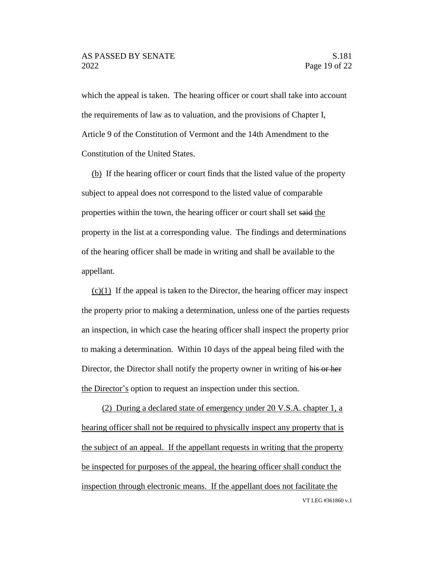which the appeal is taken. The hearing officer or court shall take into account the requirements of law as to valuation, and the provisions of Chapter I, Article 9 of the Constitution of Vermont and the 14th Amendment to the Constitution of the United States.

(b) If the hearing officer or court finds that the listed value of the property subject to appeal does not correspond to the listed value of comparable properties within the town, the hearing officer or court shall set said the property in the list at a corresponding value. The findings and determinations of the hearing officer shall be made in writing and shall be available to the appellant.

 $(c)(1)$  If the appeal is taken to the Director, the hearing officer may inspect the property prior to making a determination, unless one of the parties requests an inspection, in which case the hearing officer shall inspect the property prior to making a determination. Within 10 days of the appeal being filed with the Director, the Director shall notify the property owner in writing of his or her the Director's option to request an inspection under this section.

VT LEG #361860 v.1 (2) During a declared state of emergency under 20 V.S.A. chapter 1, a hearing officer shall not be required to physically inspect any property that is the subject of an appeal. If the appellant requests in writing that the property be inspected for purposes of the appeal, the hearing officer shall conduct the inspection through electronic means. If the appellant does not facilitate the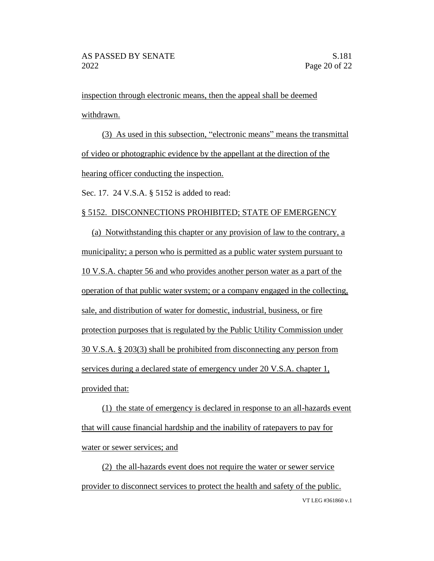inspection through electronic means, then the appeal shall be deemed withdrawn.

(3) As used in this subsection, "electronic means" means the transmittal of video or photographic evidence by the appellant at the direction of the hearing officer conducting the inspection.

Sec. 17. 24 V.S.A. § 5152 is added to read:

#### § 5152. DISCONNECTIONS PROHIBITED; STATE OF EMERGENCY

(a) Notwithstanding this chapter or any provision of law to the contrary, a municipality; a person who is permitted as a public water system pursuant to 10 V.S.A. chapter 56 and who provides another person water as a part of the operation of that public water system; or a company engaged in the collecting, sale, and distribution of water for domestic, industrial, business, or fire protection purposes that is regulated by the Public Utility Commission under 30 V.S.A. § 203(3) shall be prohibited from disconnecting any person from services during a declared state of emergency under 20 V.S.A. chapter 1, provided that:

(1) the state of emergency is declared in response to an all-hazards event that will cause financial hardship and the inability of ratepayers to pay for water or sewer services; and

VT LEG #361860 v.1 (2) the all-hazards event does not require the water or sewer service provider to disconnect services to protect the health and safety of the public.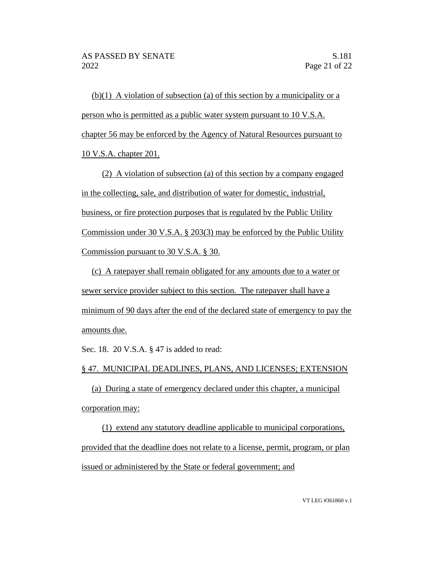(b)(1) A violation of subsection (a) of this section by a municipality or a person who is permitted as a public water system pursuant to 10 V.S.A. chapter 56 may be enforced by the Agency of Natural Resources pursuant to 10 V.S.A. chapter 201.

(2) A violation of subsection (a) of this section by a company engaged in the collecting, sale, and distribution of water for domestic, industrial, business, or fire protection purposes that is regulated by the Public Utility Commission under 30 V.S.A. § 203(3) may be enforced by the Public Utility Commission pursuant to 30 V.S.A. § 30.

(c) A ratepayer shall remain obligated for any amounts due to a water or sewer service provider subject to this section. The ratepayer shall have a minimum of 90 days after the end of the declared state of emergency to pay the amounts due.

Sec. 18. 20 V.S.A. § 47 is added to read:

§ 47. MUNICIPAL DEADLINES, PLANS, AND LICENSES; EXTENSION

(a) During a state of emergency declared under this chapter, a municipal corporation may:

(1) extend any statutory deadline applicable to municipal corporations, provided that the deadline does not relate to a license, permit, program, or plan issued or administered by the State or federal government; and